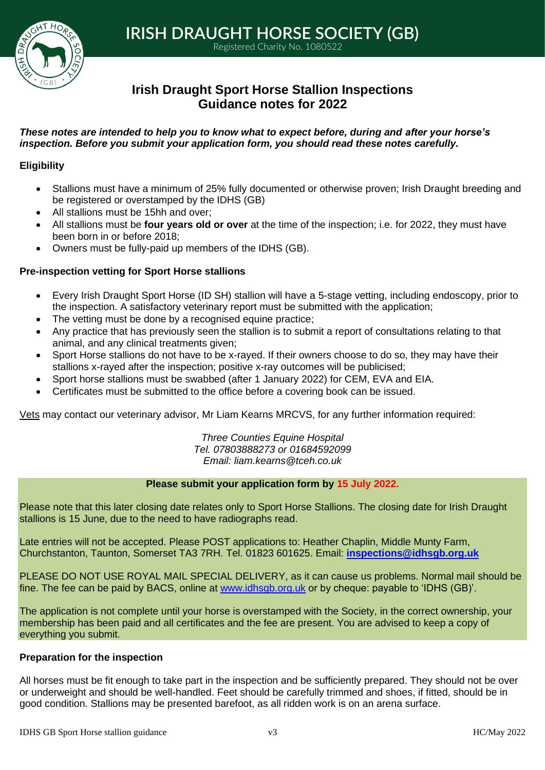

1 **IRISH DRAUGHT HORSE SOCIETY (GB)**

Registered Charity No. 1080522

# **Irish Draught Sport Horse Stallion Inspections Guidance notes for 2022**

# *These notes are intended to help you to know what to expect before, during and after your horse's inspection. Before you submit your application form, you should read these notes carefully.*

# **Eligibility**

- Stallions must have a minimum of 25% fully documented or otherwise proven; Irish Draught breeding and be registered or overstamped by the IDHS (GB)
- All stallions must be 15hh and over;
- All stallions must be **four years old or over** at the time of the inspection; i.e. for 2022, they must have been born in or before 2018;
- Owners must be fully-paid up members of the IDHS (GB).

# **Pre-inspection vetting for Sport Horse stallions**

- Every Irish Draught Sport Horse (ID SH) stallion will have a 5-stage vetting, including endoscopy, prior to the inspection. A satisfactory veterinary report must be submitted with the application;
- The vetting must be done by a recognised equine practice;
- Any practice that has previously seen the stallion is to submit a report of consultations relating to that animal, and any clinical treatments given;
- Sport Horse stallions do not have to be x-rayed. If their owners choose to do so, they may have their stallions x-rayed after the inspection; positive x-ray outcomes will be publicised;
- Sport horse stallions must be swabbed (after 1 January 2022) for CEM, EVA and EIA.
- Certificates must be submitted to the office before a covering book can be issued.

Vets may contact our veterinary advisor, Mr Liam Kearns MRCVS, for any further information required:

*Three Counties Equine Hospital Tel. 07803888273 or 01684592099 Email: [liam.kearns@tceh.co.uk](mailto:liam.kearns@tceh.co.uk)*

# **Please submit your application form by 15 July 2022.**

Please note that this later closing date relates only to Sport Horse Stallions. The closing date for Irish Draught stallions is 15 June, due to the need to have radiographs read.

Late entries will not be accepted. Please POST applications to: Heather Chaplin, Middle Munty Farm, Churchstanton, Taunton, Somerset TA3 7RH. Tel. 01823 601625. Email: **[inspections@idhsgb.org.uk](mailto:inspections@idhsgb.org.uk)** 

PLEASE DO NOT USE ROYAL MAIL SPECIAL DELIVERY, as it can cause us problems. Normal mail should be fine. The fee can be paid by BACS, online at [www.idhsgb.org.uk](http://www.idhsgb.org.uk/) or by cheque: payable to 'IDHS (GB)'.

The application is not complete until your horse is overstamped with the Society, in the correct ownership, your membership has been paid and all certificates and the fee are present. You are advised to keep a copy of everything you submit.

# **Preparation for the inspection**

All horses must be fit enough to take part in the inspection and be sufficiently prepared. They should not be over or underweight and should be well-handled. Feet should be carefully trimmed and shoes, if fitted, should be in good condition. Stallions may be presented barefoot, as all ridden work is on an arena surface.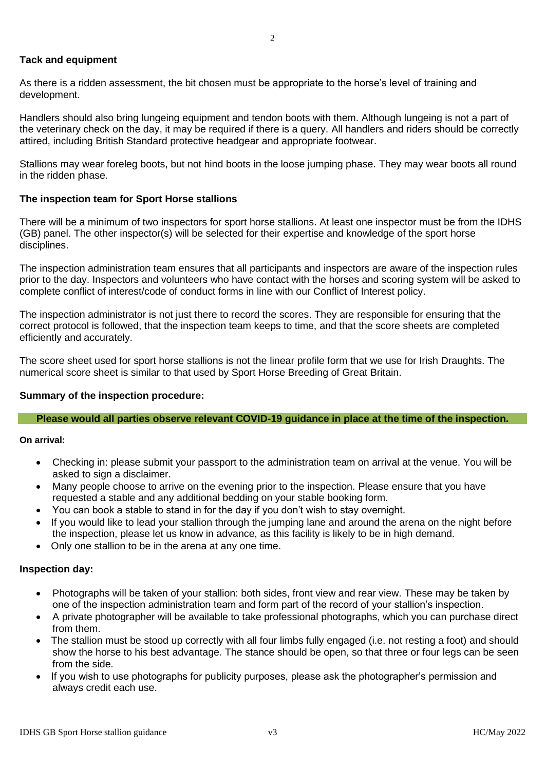# **Tack and equipment**

As there is a ridden assessment, the bit chosen must be appropriate to the horse's level of training and development.

Handlers should also bring lungeing equipment and tendon boots with them. Although lungeing is not a part of the veterinary check on the day, it may be required if there is a query. All handlers and riders should be correctly attired, including British Standard protective headgear and appropriate footwear.

Stallions may wear foreleg boots, but not hind boots in the loose jumping phase. They may wear boots all round in the ridden phase.

# **The inspection team for Sport Horse stallions**

There will be a minimum of two inspectors for sport horse stallions. At least one inspector must be from the IDHS (GB) panel. The other inspector(s) will be selected for their expertise and knowledge of the sport horse disciplines.

The inspection administration team ensures that all participants and inspectors are aware of the inspection rules prior to the day. Inspectors and volunteers who have contact with the horses and scoring system will be asked to complete conflict of interest/code of conduct forms in line with our Conflict of Interest policy.

The inspection administrator is not just there to record the scores. They are responsible for ensuring that the correct protocol is followed, that the inspection team keeps to time, and that the score sheets are completed efficiently and accurately.

The score sheet used for sport horse stallions is not the linear profile form that we use for Irish Draughts. The numerical score sheet is similar to that used by Sport Horse Breeding of Great Britain.

### **Summary of the inspection procedure:**

### **Please would all parties observe relevant COVID-19 guidance in place at the time of the inspection.**

**On arrival:** 

- Checking in: please submit your passport to the administration team on arrival at the venue. You will be asked to sign a disclaimer.
- Many people choose to arrive on the evening prior to the inspection. Please ensure that you have requested a stable and any additional bedding on your stable booking form.
- You can book a stable to stand in for the day if you don't wish to stay overnight.
- If you would like to lead your stallion through the jumping lane and around the arena on the night before the inspection, please let us know in advance, as this facility is likely to be in high demand.
- Only one stallion to be in the arena at any one time.

### **Inspection day:**

- Photographs will be taken of your stallion: both sides, front view and rear view. These may be taken by one of the inspection administration team and form part of the record of your stallion's inspection.
- A private photographer will be available to take professional photographs, which you can purchase direct from them.
- The stallion must be stood up correctly with all four limbs fully engaged (i.e. not resting a foot) and should show the horse to his best advantage. The stance should be open, so that three or four legs can be seen from the side.
- If you wish to use photographs for publicity purposes, please ask the photographer's permission and always credit each use.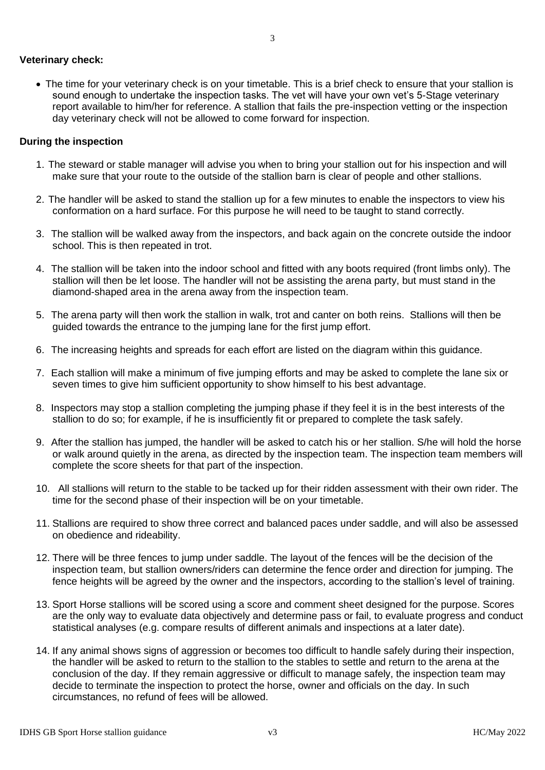• The time for your veterinary check is on your timetable. This is a brief check to ensure that your stallion is sound enough to undertake the inspection tasks. The vet will have your own vet's 5-Stage veterinary report available to him/her for reference. A stallion that fails the pre-inspection vetting or the inspection day veterinary check will not be allowed to come forward for inspection.

# **During the inspection**

- 1. The steward or stable manager will advise you when to bring your stallion out for his inspection and will make sure that your route to the outside of the stallion barn is clear of people and other stallions.
- 2. The handler will be asked to stand the stallion up for a few minutes to enable the inspectors to view his conformation on a hard surface. For this purpose he will need to be taught to stand correctly.
- 3. The stallion will be walked away from the inspectors, and back again on the concrete outside the indoor school. This is then repeated in trot.
- 4. The stallion will be taken into the indoor school and fitted with any boots required (front limbs only). The stallion will then be let loose. The handler will not be assisting the arena party, but must stand in the diamond-shaped area in the arena away from the inspection team.
- 5. The arena party will then work the stallion in walk, trot and canter on both reins. Stallions will then be guided towards the entrance to the jumping lane for the first jump effort.
- 6. The increasing heights and spreads for each effort are listed on the diagram within this guidance.
- 7. Each stallion will make a minimum of five jumping efforts and may be asked to complete the lane six or seven times to give him sufficient opportunity to show himself to his best advantage.
- 8. Inspectors may stop a stallion completing the jumping phase if they feel it is in the best interests of the stallion to do so; for example, if he is insufficiently fit or prepared to complete the task safely.
- 9. After the stallion has jumped, the handler will be asked to catch his or her stallion. S/he will hold the horse or walk around quietly in the arena, as directed by the inspection team. The inspection team members will complete the score sheets for that part of the inspection.
- 10. All stallions will return to the stable to be tacked up for their ridden assessment with their own rider. The time for the second phase of their inspection will be on your timetable.
- 11. Stallions are required to show three correct and balanced paces under saddle, and will also be assessed on obedience and rideability.
- 12. There will be three fences to jump under saddle. The layout of the fences will be the decision of the inspection team, but stallion owners/riders can determine the fence order and direction for jumping. The fence heights will be agreed by the owner and the inspectors, according to the stallion's level of training.
- 13. Sport Horse stallions will be scored using a score and comment sheet designed for the purpose. Scores are the only way to evaluate data objectively and determine pass or fail, to evaluate progress and conduct statistical analyses (e.g. compare results of different animals and inspections at a later date).
- 14. If any animal shows signs of aggression or becomes too difficult to handle safely during their inspection, the handler will be asked to return to the stallion to the stables to settle and return to the arena at the conclusion of the day. If they remain aggressive or difficult to manage safely, the inspection team may decide to terminate the inspection to protect the horse, owner and officials on the day. In such circumstances, no refund of fees will be allowed.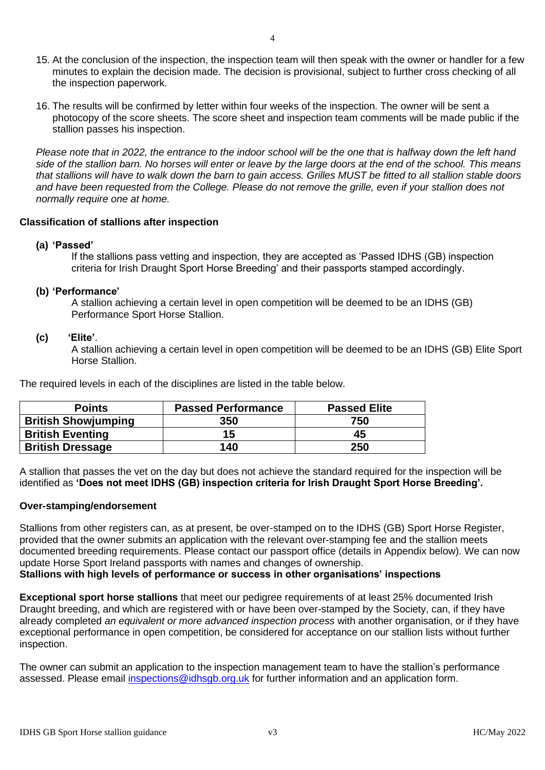- 15. At the conclusion of the inspection, the inspection team will then speak with the owner or handler for a few minutes to explain the decision made. The decision is provisional, subject to further cross checking of all the inspection paperwork.
- 16. The results will be confirmed by letter within four weeks of the inspection. The owner will be sent a photocopy of the score sheets. The score sheet and inspection team comments will be made public if the stallion passes his inspection.

*Please note that in 2022, the entrance to the indoor school will be the one that is halfway down the left hand side of the stallion barn. No horses will enter or leave by the large doors at the end of the school. This means that stallions will have to walk down the barn to gain access. Grilles MUST be fitted to all stallion stable doors and have been requested from the College. Please do not remove the grille, even if your stallion does not normally require one at home.* 

# **Classification of stallions after inspection**

# **(a) 'Passed'**

If the stallions pass vetting and inspection, they are accepted as 'Passed IDHS (GB) inspection criteria for Irish Draught Sport Horse Breeding' and their passports stamped accordingly.

# **(b) 'Performance'**

A stallion achieving a certain level in open competition will be deemed to be an IDHS (GB) Performance Sport Horse Stallion.

# **(c) 'Elite'**.

A stallion achieving a certain level in open competition will be deemed to be an IDHS (GB) Elite Sport Horse Stallion.

The required levels in each of the disciplines are listed in the table below.

| <b>Points</b>              | <b>Passed Performance</b> | <b>Passed Elite</b> |
|----------------------------|---------------------------|---------------------|
| <b>British Showjumping</b> | 350                       | 750                 |
| <b>British Eventing</b>    | 15                        | 45                  |
| <b>British Dressage</b>    | 140                       | 250                 |

A stallion that passes the vet on the day but does not achieve the standard required for the inspection will be identified as **'Does not meet IDHS (GB) inspection criteria for Irish Draught Sport Horse Breeding'.** 

### **Over-stamping/endorsement**

Stallions from other registers can, as at present, be over-stamped on to the IDHS (GB) Sport Horse Register, provided that the owner submits an application with the relevant over-stamping fee and the stallion meets documented breeding requirements. Please contact our passport office (details in Appendix below). We can now update Horse Sport Ireland passports with names and changes of ownership.

**Stallions with high levels of performance or success in other organisations' inspections**

**Exceptional sport horse stallions** that meet our pedigree requirements of at least 25% documented Irish Draught breeding, and which are registered with or have been over-stamped by the Society, can, if they have already completed *an equivalent or more advanced inspection process* with another organisation, or if they have exceptional performance in open competition, be considered for acceptance on our stallion lists without further inspection.

The owner can submit an application to the inspection management team to have the stallion's performance assessed. Please email [inspections@idhsgb.org.uk](mailto:inspections@idhsgb.org.uk) for further information and an application form.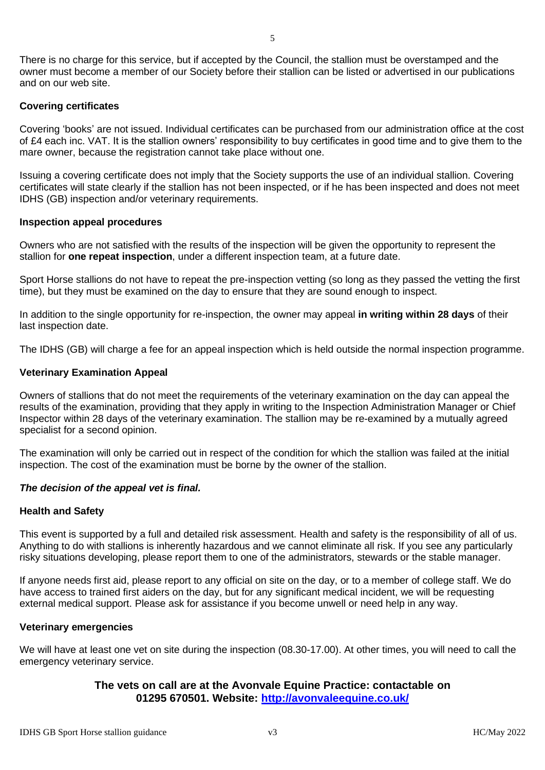There is no charge for this service, but if accepted by the Council, the stallion must be overstamped and the owner must become a member of our Society before their stallion can be listed or advertised in our publications and on our web site.

# **Covering certificates**

Covering 'books' are not issued. Individual certificates can be purchased from our administration office at the cost of £4 each inc. VAT. It is the stallion owners' responsibility to buy certificates in good time and to give them to the mare owner, because the registration cannot take place without one.

Issuing a covering certificate does not imply that the Society supports the use of an individual stallion. Covering certificates will state clearly if the stallion has not been inspected, or if he has been inspected and does not meet IDHS (GB) inspection and/or veterinary requirements.

# **Inspection appeal procedures**

Owners who are not satisfied with the results of the inspection will be given the opportunity to represent the stallion for **one repeat inspection**, under a different inspection team, at a future date.

Sport Horse stallions do not have to repeat the pre-inspection vetting (so long as they passed the vetting the first time), but they must be examined on the day to ensure that they are sound enough to inspect.

In addition to the single opportunity for re-inspection, the owner may appeal **in writing within 28 days** of their last inspection date.

The IDHS (GB) will charge a fee for an appeal inspection which is held outside the normal inspection programme.

# **Veterinary Examination Appeal**

Owners of stallions that do not meet the requirements of the veterinary examination on the day can appeal the results of the examination, providing that they apply in writing to the Inspection Administration Manager or Chief Inspector within 28 days of the veterinary examination. The stallion may be re-examined by a mutually agreed specialist for a second opinion.

The examination will only be carried out in respect of the condition for which the stallion was failed at the initial inspection. The cost of the examination must be borne by the owner of the stallion.

# *The decision of the appeal vet is final.*

# **Health and Safety**

This event is supported by a full and detailed risk assessment. Health and safety is the responsibility of all of us. Anything to do with stallions is inherently hazardous and we cannot eliminate all risk. If you see any particularly risky situations developing, please report them to one of the administrators, stewards or the stable manager.

If anyone needs first aid, please report to any official on site on the day, or to a member of college staff. We do have access to trained first aiders on the day, but for any significant medical incident, we will be requesting external medical support. Please ask for assistance if you become unwell or need help in any way.

### **Veterinary emergencies**

We will have at least one vet on site during the inspection (08.30-17.00). At other times, you will need to call the emergency veterinary service.

# **The vets on call are at the Avonvale Equine Practice: contactable on 01295 670501. Website:<http://avonvaleequine.co.uk/>**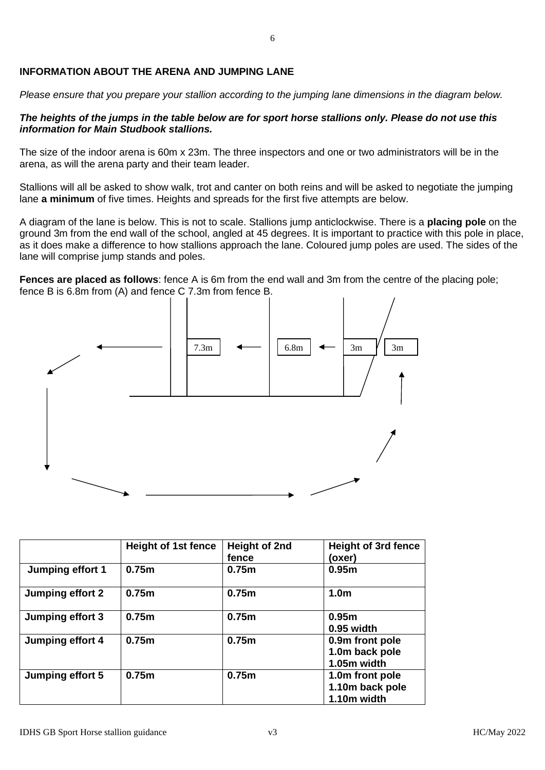# **INFORMATION ABOUT THE ARENA AND JUMPING LANE**

*Please ensure that you prepare your stallion according to the jumping lane dimensions in the diagram below.* 

# *The heights of the jumps in the table below are for sport horse stallions only. Please do not use this information for Main Studbook stallions.*

The size of the indoor arena is 60m x 23m. The three inspectors and one or two administrators will be in the arena, as will the arena party and their team leader.

Stallions will all be asked to show walk, trot and canter on both reins and will be asked to negotiate the jumping lane **a minimum** of five times. Heights and spreads for the first five attempts are below.

A diagram of the lane is below. This is not to scale. Stallions jump anticlockwise. There is a **placing pole** on the ground 3m from the end wall of the school, angled at 45 degrees. It is important to practice with this pole in place, as it does make a difference to how stallions approach the lane. Coloured jump poles are used. The sides of the lane will comprise jump stands and poles.

**Fences are placed as follows**: fence A is 6m from the end wall and 3m from the centre of the placing pole; fence B is 6.8m from (A) and fence C 7.3m from fence B.



|                  | <b>Height of 1st fence</b> | <b>Height of 2nd</b><br>fence | <b>Height of 3rd fence</b><br>(oxer)              |
|------------------|----------------------------|-------------------------------|---------------------------------------------------|
| Jumping effort 1 | 0.75m                      | 0.75m                         | 0.95 <sub>m</sub>                                 |
| Jumping effort 2 | 0.75m                      | 0.75m                         | 1.0 <sub>m</sub>                                  |
| Jumping effort 3 | 0.75m                      | 0.75m                         | 0.95 <sub>m</sub><br>0.95 width                   |
| Jumping effort 4 | 0.75m                      | 0.75m                         | 0.9m front pole<br>1.0m back pole<br>1.05m width  |
| Jumping effort 5 | 0.75m                      | 0.75m                         | 1.0m front pole<br>1.10m back pole<br>1.10m width |